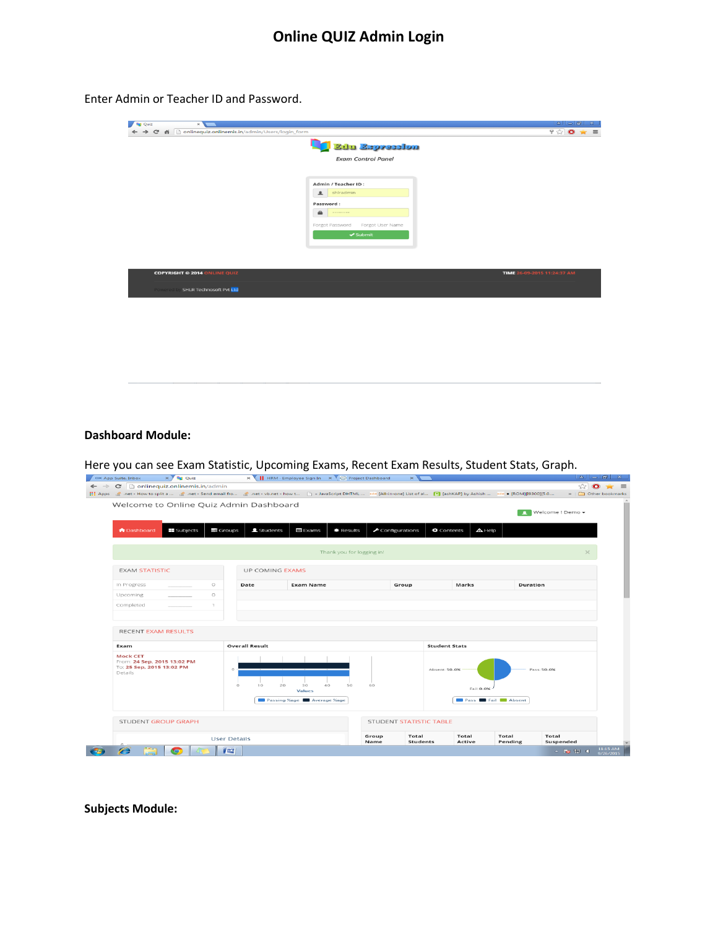Enter Admin or Teacher ID and Password.

| <b>De</b> Quiz<br>$\times$                             |                                  | $ a   =  a   \times$        |
|--------------------------------------------------------|----------------------------------|-----------------------------|
| → C' n Donlinequiz.onlinemis.in/admin/Users/login_form |                                  | $9 \times 0 \times 5$       |
|                                                        | Ethn Espression                  |                             |
|                                                        |                                  |                             |
|                                                        | <b>Exam Control Panel</b>        |                             |
|                                                        |                                  |                             |
|                                                        | Admin / Teacher ID:              |                             |
|                                                        | shiradmin                        |                             |
|                                                        | Password:                        |                             |
|                                                        | $\triangle$<br>.                 |                             |
|                                                        | Forgot Password Forgot User Name |                             |
|                                                        | $\blacktriangleright$ Submit     |                             |
|                                                        |                                  |                             |
|                                                        |                                  |                             |
|                                                        |                                  |                             |
| <b>COPYRIGHT © 2014 ONLINE QUIZ</b>                    |                                  | TIME 26-09-2015 11:24:37 AM |
|                                                        |                                  |                             |
| <b>Powered by SHLR Technosoft Pvt Ltd</b>              |                                  |                             |
|                                                        |                                  |                             |
|                                                        |                                  |                             |
|                                                        |                                  |                             |
|                                                        |                                  |                             |
|                                                        |                                  |                             |
|                                                        |                                  |                             |
|                                                        |                                  |                             |

## **Dashboard Module:**

Here you can see Exam Statistic, Upcoming Exams, Recent Exam Results, Student Stats, Graph.

| $\leftarrow$ $\rightarrow$ C' $\Box$ onlinequiz.onlinemis.in/admin                     |                 | $\sim$                         | Hill Apps (금 .net - How to split a  금 .net - Send email fro 금 .net - vb.net - how t □ « JavaScript DHTML  xde [All-in-one] List of a  . • [3 [ashKAP] by Ashish  xde + [ROM][9300][5.0 |                                      |                                                            |                                     |             | $\approx$ 0<br>» Other bookmarks | $\equiv$              |
|----------------------------------------------------------------------------------------|-----------------|--------------------------------|----------------------------------------------------------------------------------------------------------------------------------------------------------------------------------------|--------------------------------------|------------------------------------------------------------|-------------------------------------|-------------|----------------------------------|-----------------------|
| Welcome to Online Quiz Admin Dashboard                                                 |                 |                                |                                                                                                                                                                                        |                                      |                                                            |                                     |             |                                  |                       |
|                                                                                        |                 |                                |                                                                                                                                                                                        |                                      |                                                            |                                     | л.          | Welcome ! Demo -                 |                       |
| $\blacksquare$ Subjects<br><b>A</b> Dashboard                                          | $\equiv$ Groups | <b>主</b> Students              | E Exams<br><b>兼 Results</b>                                                                                                                                                            | $\blacktriangleright$ Configurations | <b>Q</b> Contents                                          | $\mathbf{\Delta}$ Help              |             |                                  |                       |
|                                                                                        |                 |                                |                                                                                                                                                                                        |                                      |                                                            |                                     |             |                                  |                       |
|                                                                                        |                 |                                | Thank you for logging in!                                                                                                                                                              |                                      |                                                            |                                     |             |                                  |                       |
| <b>EXAM STATISTIC</b>                                                                  |                 | <b>UP COMING EXAMS</b>         |                                                                                                                                                                                        |                                      |                                                            |                                     |             |                                  |                       |
| In Progress                                                                            | $\circ$         | Date                           | <b>Exam Name</b>                                                                                                                                                                       | Group                                |                                                            | Marks                               | Duration    |                                  |                       |
| Upcoming                                                                               | $\circ$         |                                |                                                                                                                                                                                        |                                      |                                                            |                                     |             |                                  |                       |
| Completed                                                                              | 1               |                                |                                                                                                                                                                                        |                                      |                                                            |                                     |             |                                  |                       |
|                                                                                        |                 |                                |                                                                                                                                                                                        |                                      |                                                            |                                     |             |                                  |                       |
| <b>RECENT EXAM RESULTS</b>                                                             |                 |                                |                                                                                                                                                                                        |                                      |                                                            |                                     |             |                                  |                       |
| Exam                                                                                   |                 | <b>Overall Result</b>          |                                                                                                                                                                                        |                                      | <b>Student Stats</b>                                       |                                     |             |                                  |                       |
| <b>Mock CET</b><br>From: 24 Sep, 2015 13:02 PM<br>To: 25 Sep, 2015 13:02 PM<br>Details |                 | $\circ$<br>$\circ$<br>20<br>10 | 40<br>30<br>50<br><b>Values</b>                                                                                                                                                        | 60                                   | Absent: 50.0%                                              | Fail: 0.0%                          | Pass: 50.0% |                                  |                       |
| <b>STUDENT GROUP GRAPH</b>                                                             |                 | <b>User Details</b>            | Passing %age Average %age                                                                                                                                                              | Group<br>Name                        | <b>STUDENT STATISTIC TABLE</b><br>Total<br><b>Students</b> | Pass Fail Absent<br>Total<br>Active | Total       | Total<br>Suspended               |                       |
| Ô<br>$\bullet$                                                                         |                 | $y =$                          |                                                                                                                                                                                        |                                      |                                                            |                                     | Pending     | $-10.914$                        | 11:15 AM<br>9/26/2015 |

**Subjects Module:**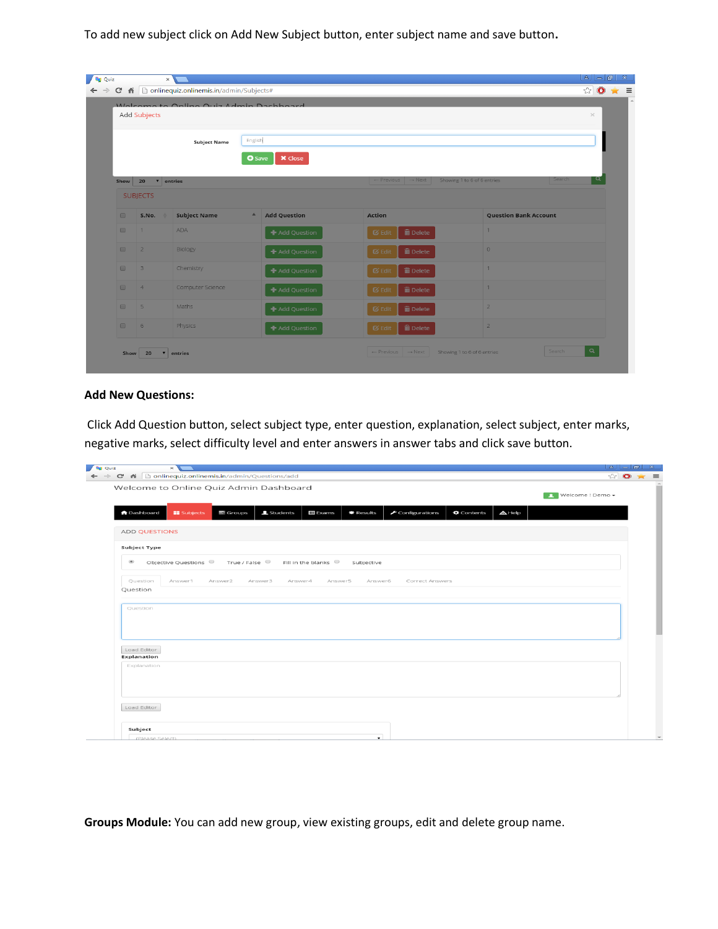To add new subject click on Add New Subject button, enter subject name and save button**.** 

|                      | Add Subjects                    | Welcome to Opling Ouiz Admin Dachboard |                  |                     |                                          |                              | $\times$    |
|----------------------|---------------------------------|----------------------------------------|------------------|---------------------|------------------------------------------|------------------------------|-------------|
|                      |                                 | <b>Subject Name</b>                    | English          |                     |                                          |                              |             |
|                      | Show 20<br>$\mathbf{v}$ entries |                                        | <b>O</b> Save    | <b>X</b> Close      | $\leftarrow$ Previous $\rightarrow$ Next | Showing 1 to 6 of 6 entries  | Q<br>Search |
|                      | <b>SUBJECTS</b>                 |                                        |                  |                     |                                          |                              |             |
| $\Box$               | S.No.                           | <b>Subject Name</b>                    | $\blacktriangle$ | <b>Add Question</b> | <b>Action</b>                            | <b>Question Bank Account</b> |             |
| $\qquad \qquad \Box$ | $\mathbf{1}$                    | <b>ADA</b>                             |                  | + Add Question      | <b>m</b> Delete<br>$G$ Edit              | $\mathbf{1}$                 |             |
| $\Box$               | $\overline{2}$                  | Biology                                |                  | + Add Question      | <b>m</b> Delete<br><b>&amp;</b> Edit     | $\circ$                      |             |
| $\Box$               | $\overline{\mathbf{3}}$         | Chemistry                              |                  | + Add Question      | <b>m</b> Delete<br>$G$ Edit              | $\overline{1}$               |             |
| $\Box$               | $\overline{4}$                  | Computer Science                       |                  | + Add Question      | <b>m</b> Delete<br><b>Ø</b> Edit         | $\overline{1}$               |             |
| $\qquad \qquad \Box$ | 5                               | Maths                                  |                  | + Add Question      | <b>m</b> Delete<br>$\sigma$ Edit         | $\overline{2}$               |             |
| $\Box$               | 6                               | <b>Physics</b>                         |                  | + Add Question      | <b>m</b> Delete<br>$\alpha$ Edit         | $\overline{2}$               |             |

## **Add New Questions:**

Click Add Question button, select subject type, enter question, explanation, select subject, enter marks, negative marks, select difficulty level and enter answers in answer tabs and click save button.

| <b>Da</b> Quiz<br>$\times$                                                                                                                                                                                 | $  \cdot   =   \cdot   = 1$ |  |
|------------------------------------------------------------------------------------------------------------------------------------------------------------------------------------------------------------|-----------------------------|--|
| ← → C' ni conlinequiz.onlinemis.in/admin/Questions/add                                                                                                                                                     | ☆ ◎ ★ ≡                     |  |
| Welcome to Online Quiz Admin Dashboard                                                                                                                                                                     | Welcome ! Demo +            |  |
| <b>A</b> Dashboard<br><b>EE</b> Subjects<br>$\equiv$ Groups<br><b>1</b> Students<br>$\boxplus$ Exams<br>$\blacktriangleright$ Configurations<br>$\bullet$ Contents<br>$\triangle$ Help<br><b>*</b> Results |                             |  |
| <b>ADD QUESTIONS</b>                                                                                                                                                                                       |                             |  |
| Subject Type                                                                                                                                                                                               |                             |  |
| Objective Questions $\circ$ True / False $\circ$ Fill in the blanks $\circ$<br>$\circledast$<br>Subjective                                                                                                 |                             |  |
| Question<br>Answer1<br>Answer2<br>Answer3<br>Answer4<br>Answer5<br>Answer6<br>Correct Answers                                                                                                              |                             |  |
| Question                                                                                                                                                                                                   |                             |  |
| Question                                                                                                                                                                                                   |                             |  |
| Load Editor<br>Explanation                                                                                                                                                                                 |                             |  |
| Explanation                                                                                                                                                                                                |                             |  |
|                                                                                                                                                                                                            |                             |  |
| Load Editor                                                                                                                                                                                                |                             |  |
| Subject                                                                                                                                                                                                    |                             |  |
| $\cdot$<br>(Please Select)                                                                                                                                                                                 |                             |  |

**Groups Module:** You can add new group, view existing groups, edit and delete group name.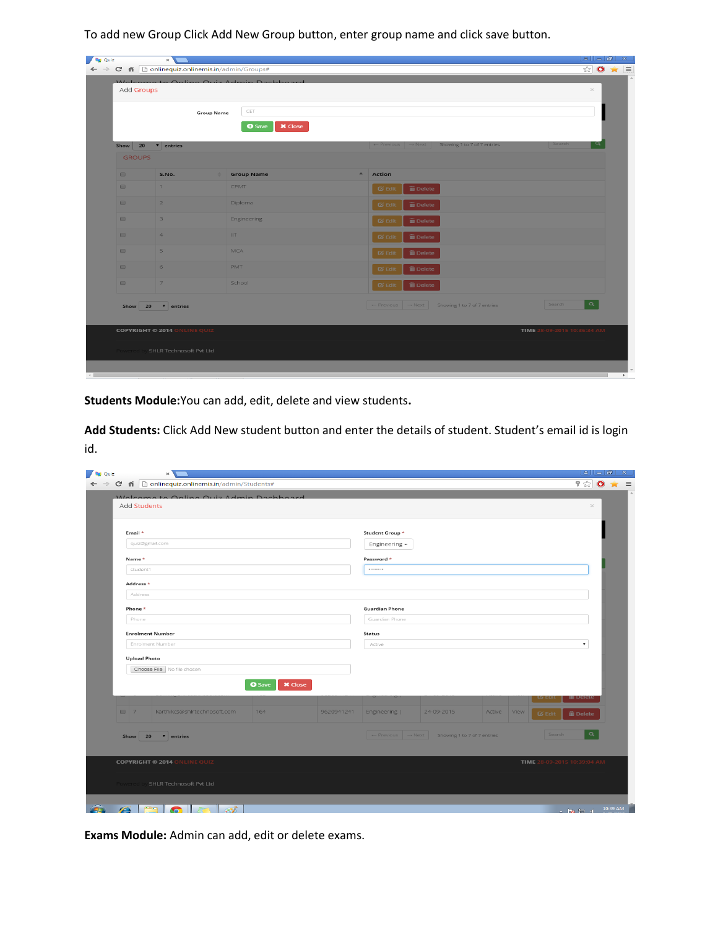To add new Group Click Add New Group button, enter group name and click save button.

| Add Groups                           |                                     |                                 | $\times$                                                                                   |
|--------------------------------------|-------------------------------------|---------------------------------|--------------------------------------------------------------------------------------------|
|                                      |                                     | CET<br><b>Group Name</b>        |                                                                                            |
|                                      |                                     | <b>O</b> Save<br><b>×</b> Close |                                                                                            |
| Show 20                              | v entries                           |                                 | $\leftarrow$ Previous $\rightarrow$ Next Showing 1 to 7 of 7 entries<br>Search             |
| <b>GROUPS</b>                        |                                     |                                 |                                                                                            |
| $\Box$                               | S.No.                               | <b>Stroup Name</b>              | $\blacktriangle$<br>Action                                                                 |
| $\qquad \qquad \Box$                 | 1                                   | CPMT                            | <b>m</b> Delete<br>$\sigma$ Edit                                                           |
| $\Box$                               | 2 <sup>7</sup>                      | <b>Diploma</b>                  | $\widehat{\mathbf{m}}$ Delete<br>$\mathfrak{G}$ Edit                                       |
| $\qquad \qquad \qquad \qquad \qquad$ | $\overline{\mathbf{3}}$             | Engineering                     | <b>面</b> Delete<br>$\sigma$ Edit                                                           |
| $\Box$                               | $\overline{A}$                      | IIT.                            | <b>m</b> Delete<br>$\mathfrak{G}$ Edit                                                     |
| $\Box$                               | 5                                   | <b>MCA</b>                      | <b>m</b> Delete<br>$\boldsymbol{\sigma}$ Edit                                              |
| $\Box$                               | 6                                   | <b>PMT</b>                      | <b>面</b> Delete<br>$\sigma$ Edit                                                           |
| $\qquad \qquad \Box$                 | $\overline{7}$                      | School                          | <b>面</b> Delete<br>$\boldsymbol{\alpha}$ Edit                                              |
| Show 20                              | $\mathbf{v}$ entries                |                                 | $\alpha$<br>Search<br>$\leftarrow$ Previous $\rightarrow$ Next Showing 1 to 7 of 7 entries |
|                                      |                                     |                                 |                                                                                            |
|                                      | <b>COPYRIGHT © 2014 ONLINE QUIZ</b> |                                 | TIME 28-09-2015 10:36:34 AM                                                                |

**Students Module:**You can add, edit, delete and view students**.**

**Add Students:** Click Add New student button and enter the details of student. Student's email id is login id.

| Add Students                        |                                 |            |                                  |                                               |        |                       |                             | $\! \times$ |
|-------------------------------------|---------------------------------|------------|----------------------------------|-----------------------------------------------|--------|-----------------------|-----------------------------|-------------|
|                                     |                                 |            |                                  |                                               |        |                       |                             |             |
| Email *<br>quiz@gmail.com           |                                 |            | Student Group *<br>Engineering - |                                               |        |                       |                             |             |
| Name *                              |                                 |            | Password *                       |                                               |        |                       |                             |             |
| student1                            |                                 |            |                                  |                                               |        |                       |                             |             |
| Address *                           |                                 |            |                                  |                                               |        |                       |                             |             |
| Address                             |                                 |            |                                  |                                               |        |                       |                             |             |
| Phone *                             |                                 |            | <b>Guardian Phone</b>            |                                               |        |                       |                             |             |
| Phone                               |                                 |            | Guardian Phone                   |                                               |        |                       |                             |             |
| <b>Enrolment Number</b>             |                                 |            | <b>Status</b>                    |                                               |        |                       |                             |             |
| Enrolment Number                    |                                 |            | Active                           |                                               |        |                       | ۰.                          |             |
| <b>Upload Photo</b>                 |                                 |            |                                  |                                               |        |                       |                             |             |
| Choose File No file chosen          |                                 |            |                                  |                                               |        |                       |                             |             |
|                                     | <b>O</b> Save<br><b>×</b> Close |            |                                  |                                               |        |                       |                             |             |
|                                     |                                 |            |                                  |                                               |        |                       | IIII Delet                  |             |
| 07<br>karthikcs@shlrtechnosoft.com  | 164                             | 9620941241 | Engineering                      | 24-09-2015                                    | Active | View<br>$\alpha$ Edit | <b>m</b> Delete             |             |
| Show<br>20<br>v entries             |                                 |            |                                  | ← Previous → Next Showing 1 to 7 of 7 entries |        |                       | $\alpha$<br>Search          |             |
|                                     |                                 |            |                                  |                                               |        |                       |                             |             |
| <b>COPYRIGHT © 2014 ONLINE QUIZ</b> |                                 |            |                                  |                                               |        |                       | TIME 28-09-2015 10:39:04 AM |             |
|                                     |                                 |            |                                  |                                               |        |                       |                             |             |

**Exams Module:** Admin can add, edit or delete exams.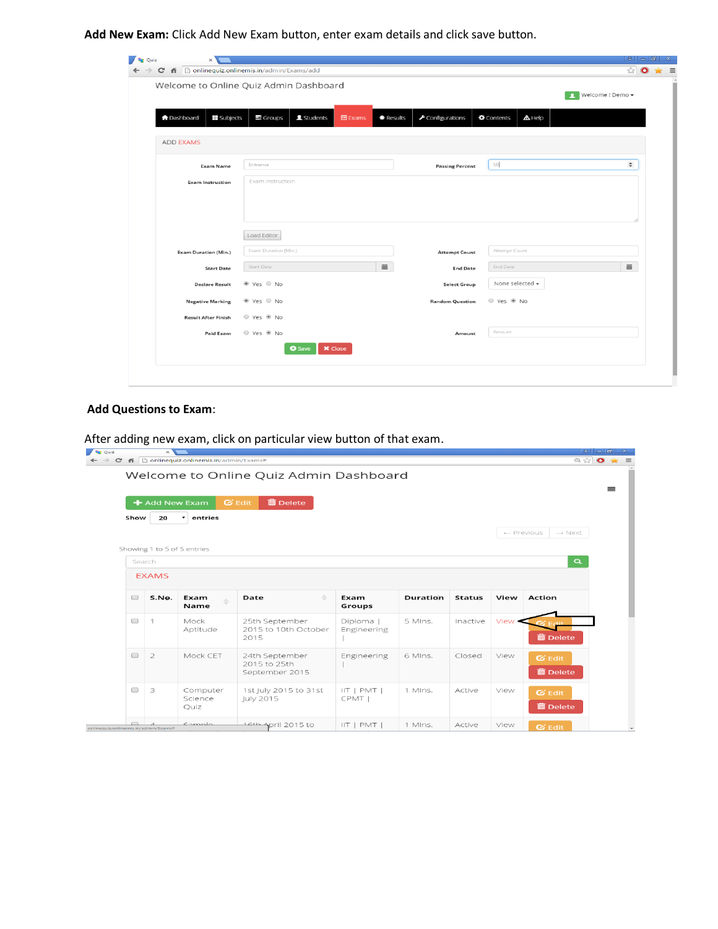**Add New Exam:** Click Add New Exam button, enter exam details and click save button.

|                                         | Welcome to Online Quiz Admin Dashboard                |           |                                      |                                    | Nelcome ! Demo - |
|-----------------------------------------|-------------------------------------------------------|-----------|--------------------------------------|------------------------------------|------------------|
| <b>A</b> Dashboard<br><b>E</b> Subjects | $\equiv$ Groups<br><b>主</b> Students<br><b>目Exams</b> | * Results | $\blacktriangleright$ Configurations | <b>Q</b> Contents<br>$\Delta$ Help |                  |
| <b>ADD EXAMS</b>                        |                                                       |           |                                      |                                    |                  |
| <b>Exam Name</b>                        | Entrance                                              |           | <b>Passing Percent</b>               | 50                                 | $\div$           |
| <b>Exam Instruction</b>                 | Exam Instruction                                      |           |                                      |                                    |                  |
| <b>Exam Duration (Min.)</b>             | Load Editor<br>Exam Duration (Min.)                   |           | <b>Attempt Count</b>                 | Attempt Count                      |                  |
| <b>Start Date</b>                       | Start Date                                            | 笽         | <b>End Date</b>                      | End Date                           | $\equiv$         |
| <b>Declare Result</b>                   | ● Yes ● No                                            |           | <b>Select Group</b>                  | None selected -                    |                  |
| <b>Negative Marking</b>                 | ● Yes ● No                                            |           | <b>Random Question</b>               | © Yes <sup>●</sup> No              |                  |
|                                         | © Yes ® No                                            |           |                                      |                                    |                  |
| <b>Result After Finish</b>              |                                                       |           |                                      | Amount                             |                  |

## **Add Questions to Exam**:

After adding new exam, click on particular view button of that exam.

|                      |                             | + Add New Exam                  | <b>面 Delete</b><br>$G$ Edit                      |                          |                 |               |        |                                  |
|----------------------|-----------------------------|---------------------------------|--------------------------------------------------|--------------------------|-----------------|---------------|--------|----------------------------------|
| Show                 | 20                          | entries<br>$\blacktriangledown$ |                                                  |                          |                 |               |        |                                  |
|                      |                             |                                 |                                                  |                          |                 |               |        | ← Previous<br>$\rightarrow$ Next |
|                      | Showing 1 to 5 of 5 entries |                                 |                                                  |                          |                 |               |        |                                  |
|                      | Search                      |                                 |                                                  |                          |                 |               |        | $\alpha$                         |
|                      | <b>EXAMS</b>                |                                 |                                                  |                          |                 |               |        |                                  |
| $\qquad \qquad \Box$ | S.No.                       | Exam<br>Name                    | ÷<br>Date                                        | Exam<br>Groups           | <b>Duration</b> | <b>Status</b> | View   | <b>Action</b>                    |
| $\qquad \qquad \Box$ | $\mathbf{1}$                | Mock<br>Aptitude                | 25th September<br>2015 to 10th October<br>2015   | Diploma  <br>Engineering | 5 MIns.         | Inactive      | View • | <b>m</b> Delete                  |
| $\qquad \qquad \Box$ | $\overline{2}$              | Mock CET                        | 24th September<br>2015 to 25th<br>September 2015 | Engineering              | 6 MIns.         | Closed        | View   | $G$ Edit<br><b>m</b> Delete      |
| $\qquad \qquad \Box$ | 3                           | Computer<br>Science<br>Quiz     | 1st July 2015 to 31st<br>July 2015               | $IIT$   PMT  <br>CPMT    | 1 MIns.         | Active        | View   | $G$ Edit<br><b>m</b> Delete      |